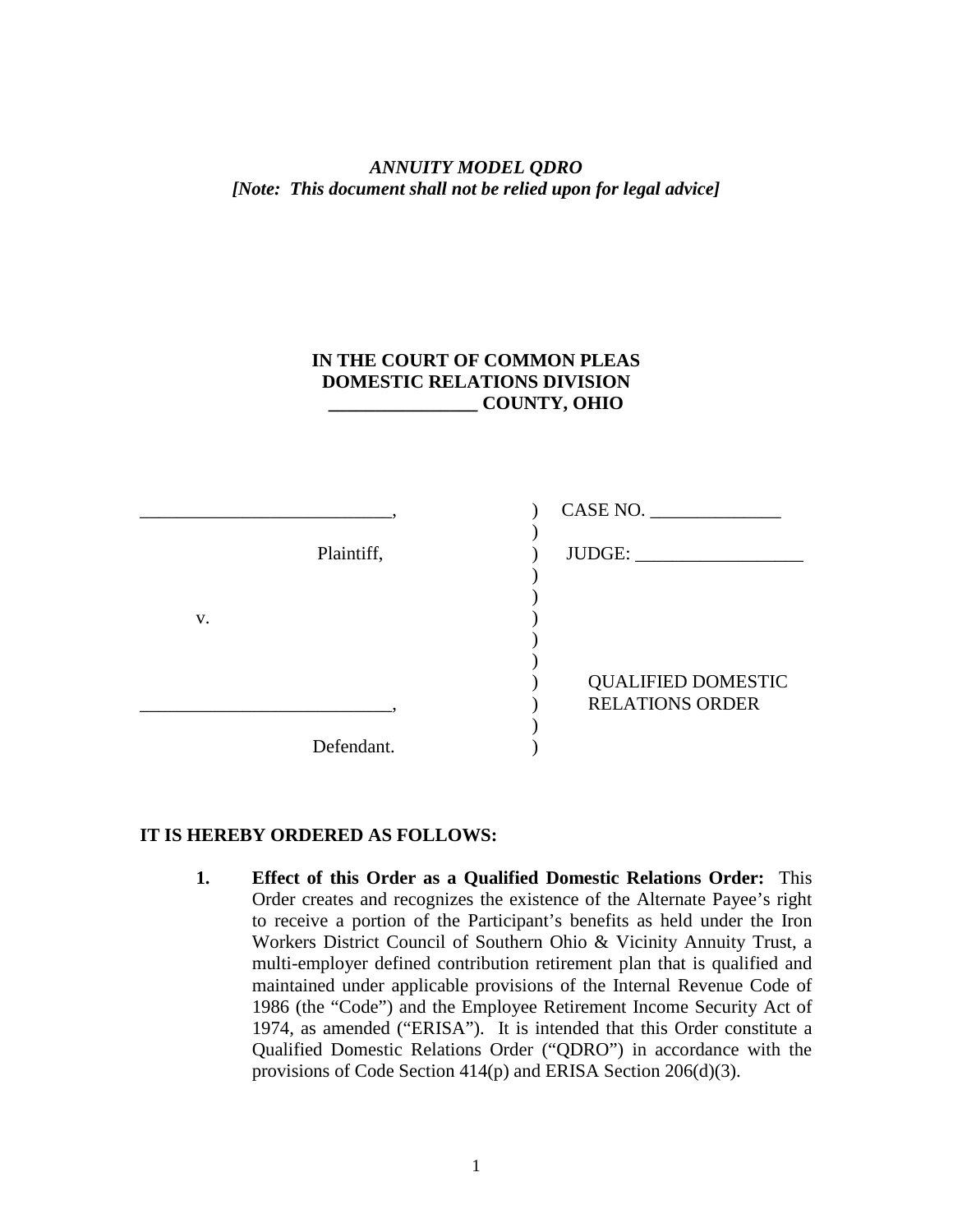## *ANNUITY MODEL QDRO [Note: This document shall not be relied upon for legal advice]*

## **IN THE COURT OF COMMON PLEAS DOMESTIC RELATIONS DIVISION \_\_\_\_\_\_\_\_\_\_\_\_\_\_\_\_ COUNTY, OHIO**

|    |            | CASE NO.                  |
|----|------------|---------------------------|
|    | Plaintiff, | JUDGE:                    |
|    |            |                           |
| V. |            |                           |
|    |            |                           |
|    |            |                           |
|    |            | <b>QUALIFIED DOMESTIC</b> |
|    |            | <b>RELATIONS ORDER</b>    |
|    |            |                           |
|    | Defendant. |                           |

## **IT IS HEREBY ORDERED AS FOLLOWS:**

**1. Effect of this Order as a Qualified Domestic Relations Order:** This Order creates and recognizes the existence of the Alternate Payee's right to receive a portion of the Participant's benefits as held under the Iron Workers District Council of Southern Ohio & Vicinity Annuity Trust, a multi-employer defined contribution retirement plan that is qualified and maintained under applicable provisions of the Internal Revenue Code of 1986 (the "Code") and the Employee Retirement Income Security Act of 1974, as amended ("ERISA"). It is intended that this Order constitute a Qualified Domestic Relations Order ("QDRO") in accordance with the provisions of Code Section 414(p) and ERISA Section 206(d)(3).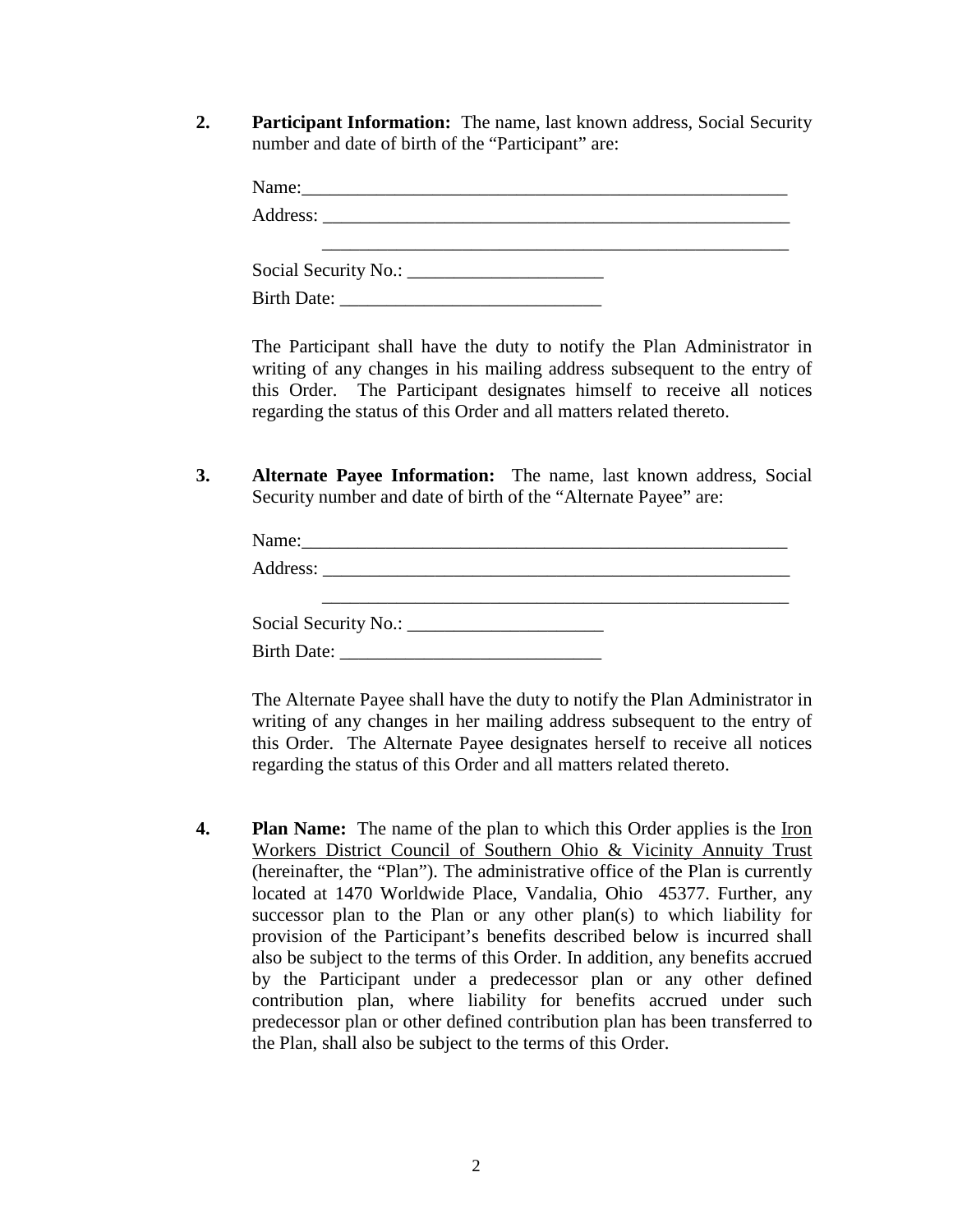**2. Participant Information:** The name, last known address, Social Security number and date of birth of the "Participant" are:

| Name:              |  |  |
|--------------------|--|--|
|                    |  |  |
|                    |  |  |
|                    |  |  |
| <b>Birth Date:</b> |  |  |

The Participant shall have the duty to notify the Plan Administrator in writing of any changes in his mailing address subsequent to the entry of this Order. The Participant designates himself to receive all notices regarding the status of this Order and all matters related thereto.

**3. Alternate Payee Information:** The name, last known address, Social Security number and date of birth of the "Alternate Payee" are:

The Alternate Payee shall have the duty to notify the Plan Administrator in writing of any changes in her mailing address subsequent to the entry of this Order. The Alternate Payee designates herself to receive all notices regarding the status of this Order and all matters related thereto.

**4. Plan Name:** The name of the plan to which this Order applies is the <u>Iron</u> Workers District Council of Southern Ohio & Vicinity Annuity Trust (hereinafter, the "Plan"). The administrative office of the Plan is currently located at 1470 Worldwide Place, Vandalia, Ohio 45377. Further, any successor plan to the Plan or any other plan(s) to which liability for provision of the Participant's benefits described below is incurred shall also be subject to the terms of this Order. In addition, any benefits accrued by the Participant under a predecessor plan or any other defined contribution plan, where liability for benefits accrued under such predecessor plan or other defined contribution plan has been transferred to the Plan, shall also be subject to the terms of this Order.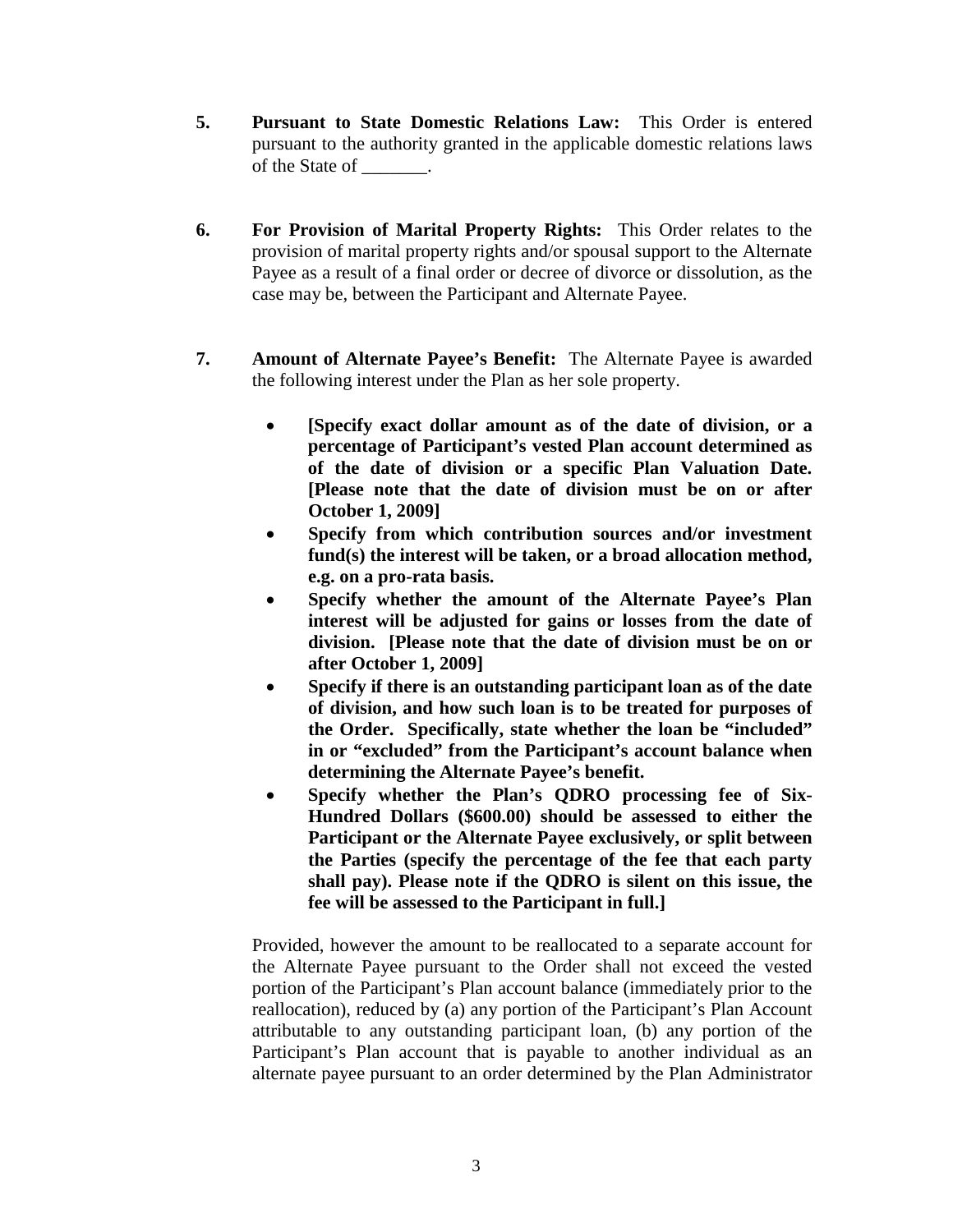- **5. Pursuant to State Domestic Relations Law:** This Order is entered pursuant to the authority granted in the applicable domestic relations laws of the State of \_\_\_\_\_\_\_.
- **6. For Provision of Marital Property Rights:** This Order relates to the provision of marital property rights and/or spousal support to the Alternate Payee as a result of a final order or decree of divorce or dissolution, as the case may be, between the Participant and Alternate Payee.
- **7. Amount of Alternate Payee's Benefit:** The Alternate Payee is awarded the following interest under the Plan as her sole property.
	- **[Specify exact dollar amount as of the date of division, or a percentage of Participant's vested Plan account determined as of the date of division or a specific Plan Valuation Date. [Please note that the date of division must be on or after October 1, 2009]**
	- **Specify from which contribution sources and/or investment fund(s) the interest will be taken, or a broad allocation method, e.g. on a pro-rata basis.**
	- **Specify whether the amount of the Alternate Payee's Plan interest will be adjusted for gains or losses from the date of division. [Please note that the date of division must be on or after October 1, 2009]**
	- **Specify if there is an outstanding participant loan as of the date of division, and how such loan is to be treated for purposes of the Order. Specifically, state whether the loan be "included" in or "excluded" from the Participant's account balance when determining the Alternate Payee's benefit.**
	- **Specify whether the Plan's QDRO processing fee of Six-Hundred Dollars (\$600.00) should be assessed to either the Participant or the Alternate Payee exclusively, or split between the Parties (specify the percentage of the fee that each party shall pay). Please note if the QDRO is silent on this issue, the fee will be assessed to the Participant in full.]**

Provided, however the amount to be reallocated to a separate account for the Alternate Payee pursuant to the Order shall not exceed the vested portion of the Participant's Plan account balance (immediately prior to the reallocation), reduced by (a) any portion of the Participant's Plan Account attributable to any outstanding participant loan, (b) any portion of the Participant's Plan account that is payable to another individual as an alternate payee pursuant to an order determined by the Plan Administrator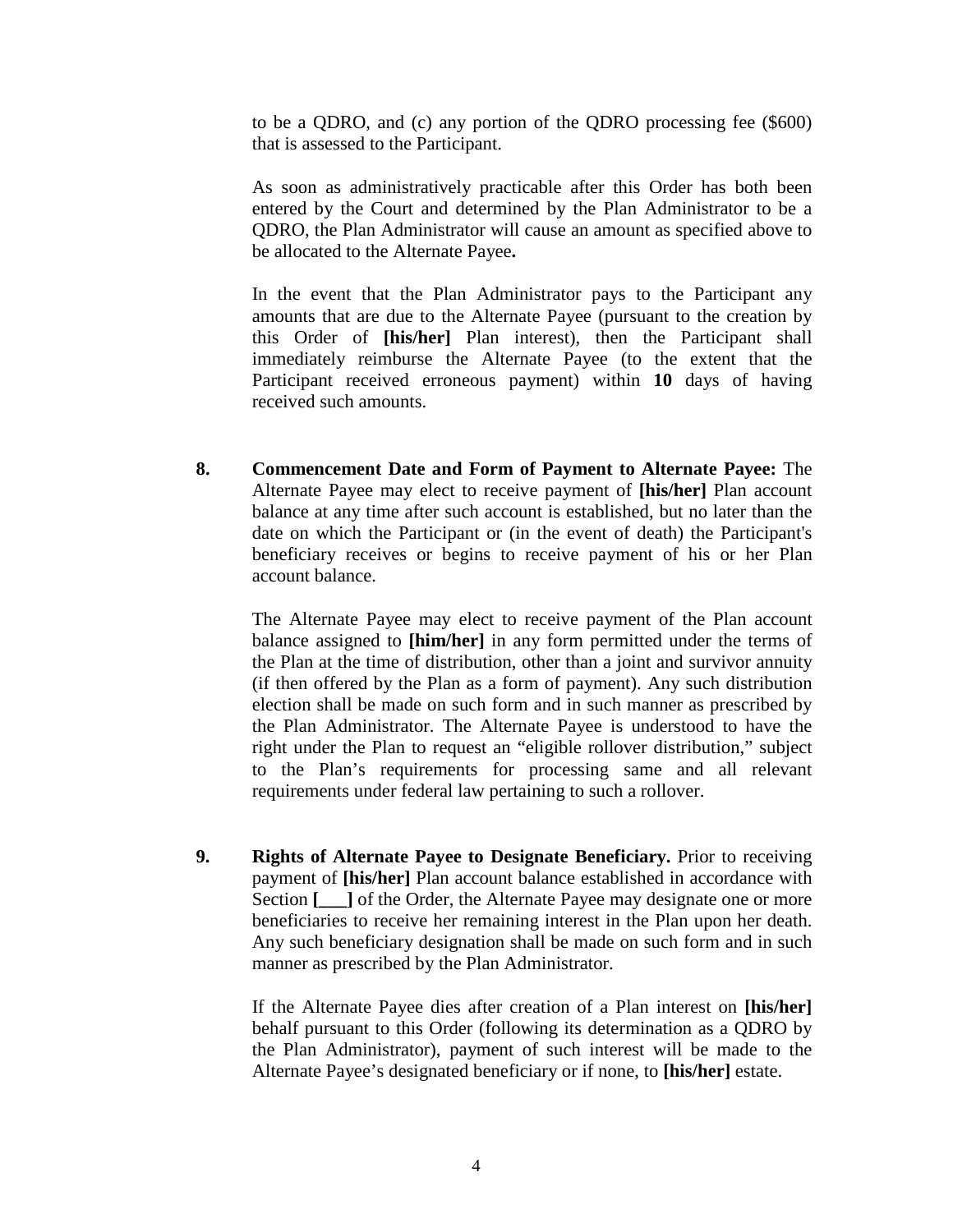to be a QDRO, and (c) any portion of the QDRO processing fee (\$600) that is assessed to the Participant.

As soon as administratively practicable after this Order has both been entered by the Court and determined by the Plan Administrator to be a QDRO, the Plan Administrator will cause an amount as specified above to be allocated to the Alternate Payee**.**

In the event that the Plan Administrator pays to the Participant any amounts that are due to the Alternate Payee (pursuant to the creation by this Order of **[his/her]** Plan interest), then the Participant shall immediately reimburse the Alternate Payee (to the extent that the Participant received erroneous payment) within **10** days of having received such amounts.

**8. Commencement Date and Form of Payment to Alternate Payee:** The Alternate Payee may elect to receive payment of **[his/her]** Plan account balance at any time after such account is established, but no later than the date on which the Participant or (in the event of death) the Participant's beneficiary receives or begins to receive payment of his or her Plan account balance.

The Alternate Payee may elect to receive payment of the Plan account balance assigned to **[him/her]** in any form permitted under the terms of the Plan at the time of distribution, other than a joint and survivor annuity (if then offered by the Plan as a form of payment). Any such distribution election shall be made on such form and in such manner as prescribed by the Plan Administrator. The Alternate Payee is understood to have the right under the Plan to request an "eligible rollover distribution," subject to the Plan's requirements for processing same and all relevant requirements under federal law pertaining to such a rollover.

**9. Rights of Alternate Payee to Designate Beneficiary.** Prior to receiving payment of **[his/her]** Plan account balance established in accordance with Section **[\_\_\_\_]** of the Order, the Alternate Payee may designate one or more beneficiaries to receive her remaining interest in the Plan upon her death. Any such beneficiary designation shall be made on such form and in such manner as prescribed by the Plan Administrator.

If the Alternate Payee dies after creation of a Plan interest on **[his/her]** behalf pursuant to this Order (following its determination as a QDRO by the Plan Administrator), payment of such interest will be made to the Alternate Payee's designated beneficiary or if none, to **[his/her]** estate.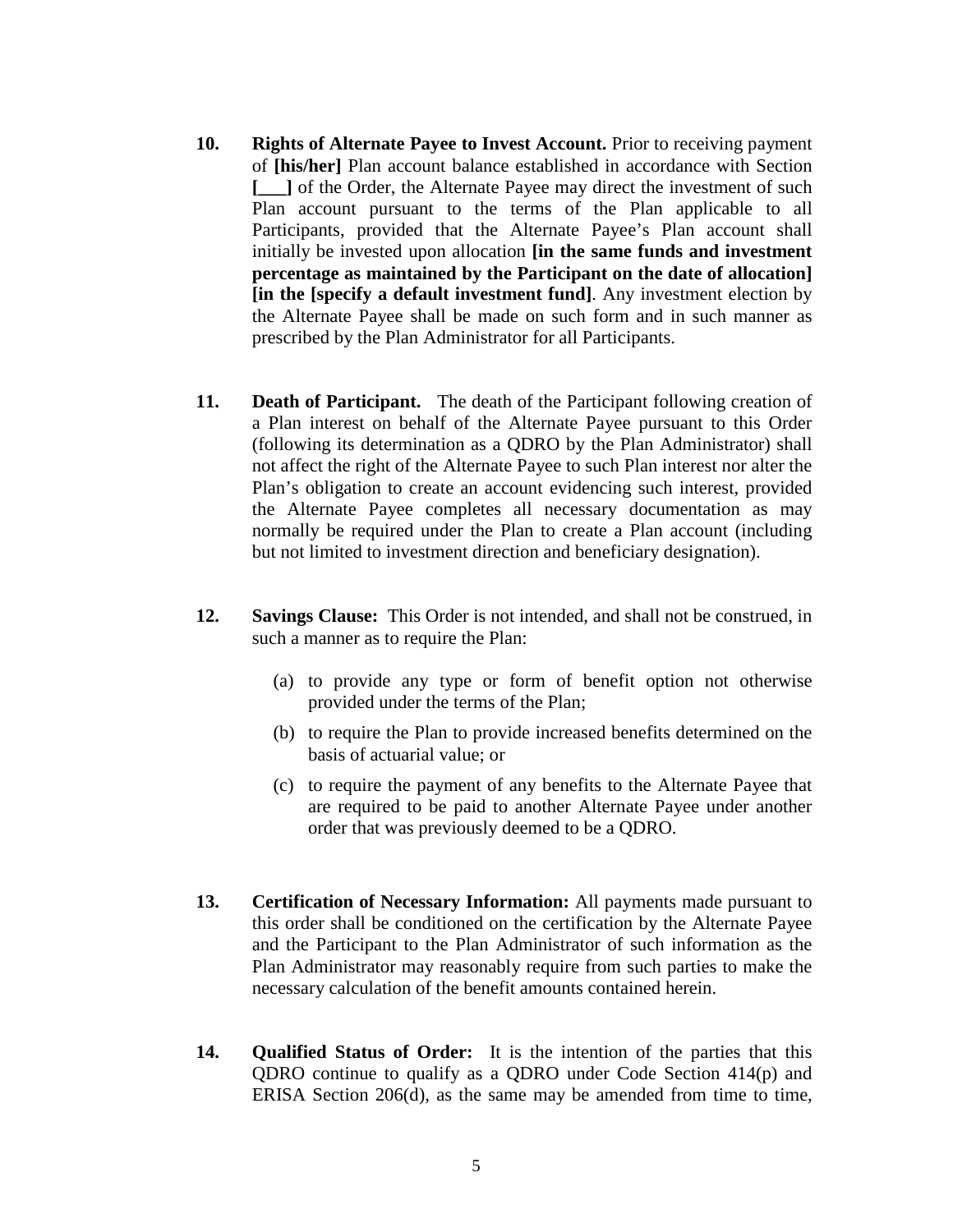- **10. Rights of Alternate Payee to Invest Account.** Prior to receiving payment of **[his/her]** Plan account balance established in accordance with Section **[\_\_\_]** of the Order, the Alternate Payee may direct the investment of such Plan account pursuant to the terms of the Plan applicable to all Participants, provided that the Alternate Payee's Plan account shall initially be invested upon allocation **[in the same funds and investment percentage as maintained by the Participant on the date of allocation] [in the [specify a default investment fund]**. Any investment election by the Alternate Payee shall be made on such form and in such manner as prescribed by the Plan Administrator for all Participants.
- **11. Death of Participant.** The death of the Participant following creation of a Plan interest on behalf of the Alternate Payee pursuant to this Order (following its determination as a QDRO by the Plan Administrator) shall not affect the right of the Alternate Payee to such Plan interest nor alter the Plan's obligation to create an account evidencing such interest, provided the Alternate Payee completes all necessary documentation as may normally be required under the Plan to create a Plan account (including but not limited to investment direction and beneficiary designation).
- **12. Savings Clause:** This Order is not intended, and shall not be construed, in such a manner as to require the Plan:
	- (a) to provide any type or form of benefit option not otherwise provided under the terms of the Plan;
	- (b) to require the Plan to provide increased benefits determined on the basis of actuarial value; or
	- (c) to require the payment of any benefits to the Alternate Payee that are required to be paid to another Alternate Payee under another order that was previously deemed to be a QDRO.
- **13. Certification of Necessary Information:** All payments made pursuant to this order shall be conditioned on the certification by the Alternate Payee and the Participant to the Plan Administrator of such information as the Plan Administrator may reasonably require from such parties to make the necessary calculation of the benefit amounts contained herein.
- **14. Qualified Status of Order:** It is the intention of the parties that this QDRO continue to qualify as a QDRO under Code Section 414(p) and ERISA Section 206(d), as the same may be amended from time to time,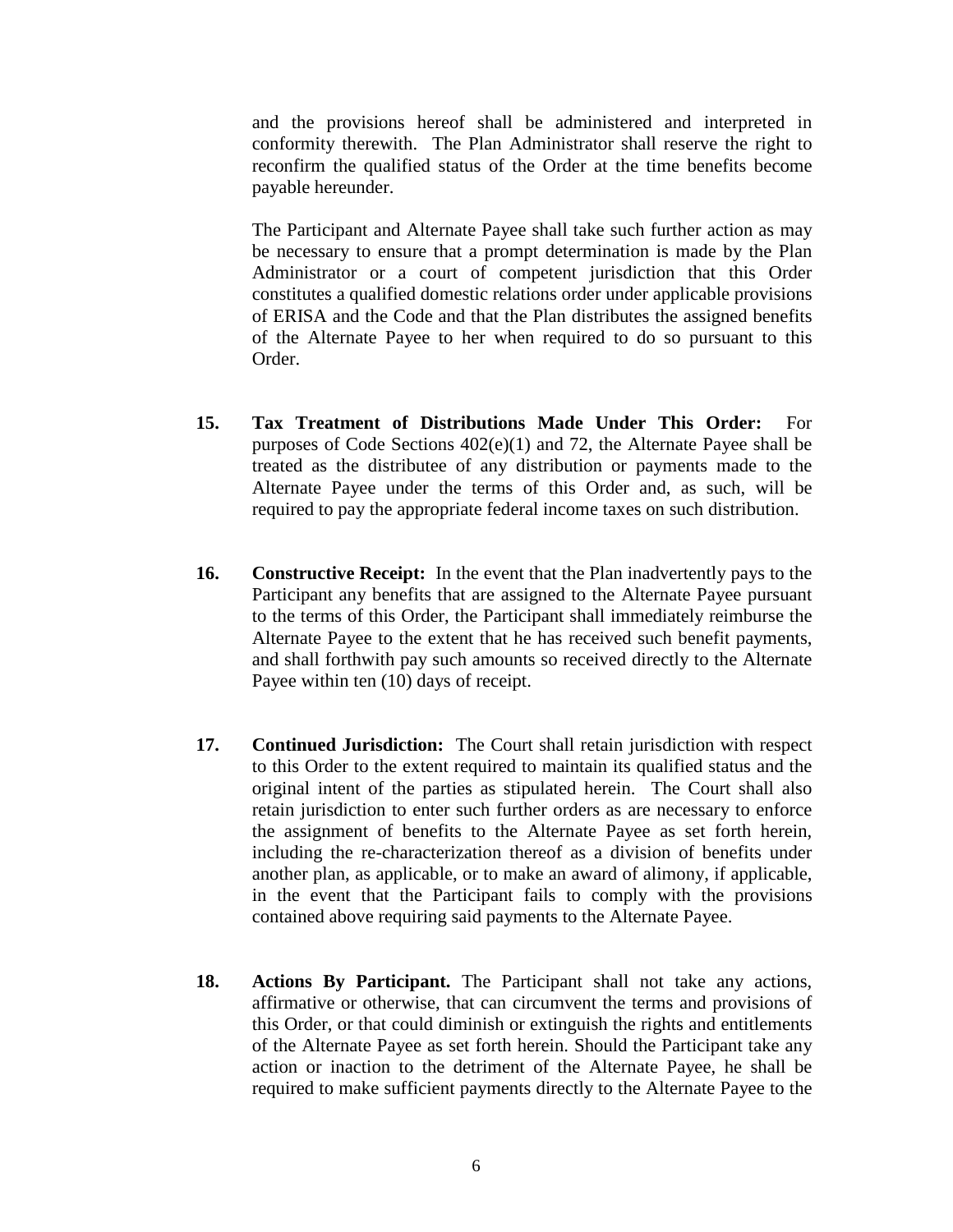and the provisions hereof shall be administered and interpreted in conformity therewith. The Plan Administrator shall reserve the right to reconfirm the qualified status of the Order at the time benefits become payable hereunder.

The Participant and Alternate Payee shall take such further action as may be necessary to ensure that a prompt determination is made by the Plan Administrator or a court of competent jurisdiction that this Order constitutes a qualified domestic relations order under applicable provisions of ERISA and the Code and that the Plan distributes the assigned benefits of the Alternate Payee to her when required to do so pursuant to this Order.

- **15. Tax Treatment of Distributions Made Under This Order:** For purposes of Code Sections 402(e)(1) and 72, the Alternate Payee shall be treated as the distributee of any distribution or payments made to the Alternate Payee under the terms of this Order and, as such, will be required to pay the appropriate federal income taxes on such distribution.
- **16. Constructive Receipt:** In the event that the Plan inadvertently pays to the Participant any benefits that are assigned to the Alternate Payee pursuant to the terms of this Order, the Participant shall immediately reimburse the Alternate Payee to the extent that he has received such benefit payments, and shall forthwith pay such amounts so received directly to the Alternate Payee within ten (10) days of receipt.
- **17. Continued Jurisdiction:** The Court shall retain jurisdiction with respect to this Order to the extent required to maintain its qualified status and the original intent of the parties as stipulated herein. The Court shall also retain jurisdiction to enter such further orders as are necessary to enforce the assignment of benefits to the Alternate Payee as set forth herein, including the re-characterization thereof as a division of benefits under another plan, as applicable, or to make an award of alimony, if applicable, in the event that the Participant fails to comply with the provisions contained above requiring said payments to the Alternate Payee.
- **18. Actions By Participant.** The Participant shall not take any actions, affirmative or otherwise, that can circumvent the terms and provisions of this Order, or that could diminish or extinguish the rights and entitlements of the Alternate Payee as set forth herein. Should the Participant take any action or inaction to the detriment of the Alternate Payee, he shall be required to make sufficient payments directly to the Alternate Payee to the